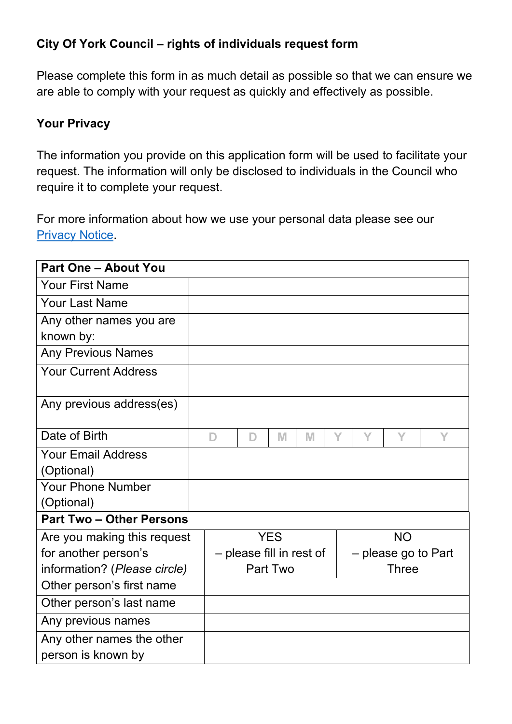## **City Of York Council – rights of individuals request form**

Please complete this form in as much detail as possible so that we can ensure we are able to comply with your request as quickly and effectively as possible.

## **Your Privacy**

The information you provide on this application form will be used to facilitate your request. The information will only be disclosed to individuals in the Council who require it to complete your request.

For more information about how we use your personal data please see our [Privacy Notice.](https://www.york.gov.uk/privacy)

| <b>Part One - About You</b>     |   |                                                 |            |   |   |   |           |   |
|---------------------------------|---|-------------------------------------------------|------------|---|---|---|-----------|---|
| <b>Your First Name</b>          |   |                                                 |            |   |   |   |           |   |
| <b>Your Last Name</b>           |   |                                                 |            |   |   |   |           |   |
| Any other names you are         |   |                                                 |            |   |   |   |           |   |
| known by:                       |   |                                                 |            |   |   |   |           |   |
| <b>Any Previous Names</b>       |   |                                                 |            |   |   |   |           |   |
| <b>Your Current Address</b>     |   |                                                 |            |   |   |   |           |   |
| Any previous address(es)        |   |                                                 |            |   |   |   |           |   |
| Date of Birth                   | D | D                                               | M          | M | Y | Y | Y         | Y |
| <b>Your Email Address</b>       |   |                                                 |            |   |   |   |           |   |
| (Optional)                      |   |                                                 |            |   |   |   |           |   |
| <b>Your Phone Number</b>        |   |                                                 |            |   |   |   |           |   |
| (Optional)                      |   |                                                 |            |   |   |   |           |   |
| <b>Part Two - Other Persons</b> |   |                                                 |            |   |   |   |           |   |
| Are you making this request     |   |                                                 | <b>YES</b> |   |   |   | <b>NO</b> |   |
| for another person's            |   | - please fill in rest of<br>- please go to Part |            |   |   |   |           |   |
| information? (Please circle)    |   | Part Two<br>Three                               |            |   |   |   |           |   |
| Other person's first name       |   |                                                 |            |   |   |   |           |   |
| Other person's last name        |   |                                                 |            |   |   |   |           |   |
| Any previous names              |   |                                                 |            |   |   |   |           |   |
| Any other names the other       |   |                                                 |            |   |   |   |           |   |
| person is known by              |   |                                                 |            |   |   |   |           |   |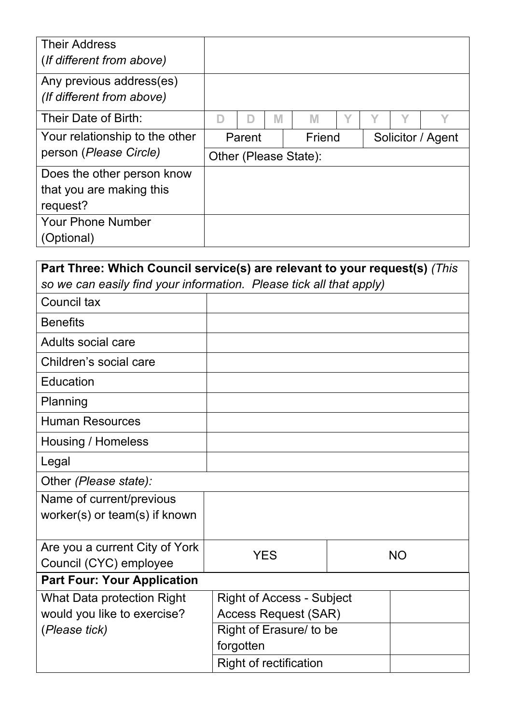| <b>Their Address</b><br>(If different from above)     |                       |  |                   |   |  |  |  |
|-------------------------------------------------------|-----------------------|--|-------------------|---|--|--|--|
| Any previous address(es)<br>(If different from above) |                       |  |                   |   |  |  |  |
| Their Date of Birth:                                  |                       |  | M                 | M |  |  |  |
| Your relationship to the other                        | Friend<br>Parent      |  | Solicitor / Agent |   |  |  |  |
| person (Please Circle)                                | Other (Please State): |  |                   |   |  |  |  |
| Does the other person know                            |                       |  |                   |   |  |  |  |
| that you are making this                              |                       |  |                   |   |  |  |  |
| request?                                              |                       |  |                   |   |  |  |  |
| <b>Your Phone Number</b>                              |                       |  |                   |   |  |  |  |
| (Optional)                                            |                       |  |                   |   |  |  |  |

| Part Three: Which Council service(s) are relevant to your request(s) (This |                                  |           |  |  |  |  |
|----------------------------------------------------------------------------|----------------------------------|-----------|--|--|--|--|
| so we can easily find your information. Please tick all that apply)        |                                  |           |  |  |  |  |
| Council tax                                                                |                                  |           |  |  |  |  |
| <b>Benefits</b>                                                            |                                  |           |  |  |  |  |
| <b>Adults social care</b>                                                  |                                  |           |  |  |  |  |
| Children's social care                                                     |                                  |           |  |  |  |  |
| Education                                                                  |                                  |           |  |  |  |  |
| Planning                                                                   |                                  |           |  |  |  |  |
| <b>Human Resources</b>                                                     |                                  |           |  |  |  |  |
| Housing / Homeless                                                         |                                  |           |  |  |  |  |
| Legal                                                                      |                                  |           |  |  |  |  |
| Other (Please state):                                                      |                                  |           |  |  |  |  |
| Name of current/previous                                                   |                                  |           |  |  |  |  |
| worker(s) or team(s) if known                                              |                                  |           |  |  |  |  |
|                                                                            |                                  |           |  |  |  |  |
| Are you a current City of York                                             | <b>YES</b>                       | <b>NO</b> |  |  |  |  |
| Council (CYC) employee                                                     |                                  |           |  |  |  |  |
| <b>Part Four: Your Application</b>                                         |                                  |           |  |  |  |  |
| <b>What Data protection Right</b>                                          | <b>Right of Access - Subject</b> |           |  |  |  |  |
| would you like to exercise?                                                | <b>Access Request (SAR)</b>      |           |  |  |  |  |
| (Please tick)                                                              | Right of Erasure/ to be          |           |  |  |  |  |
|                                                                            | forgotten                        |           |  |  |  |  |
|                                                                            | <b>Right of rectification</b>    |           |  |  |  |  |